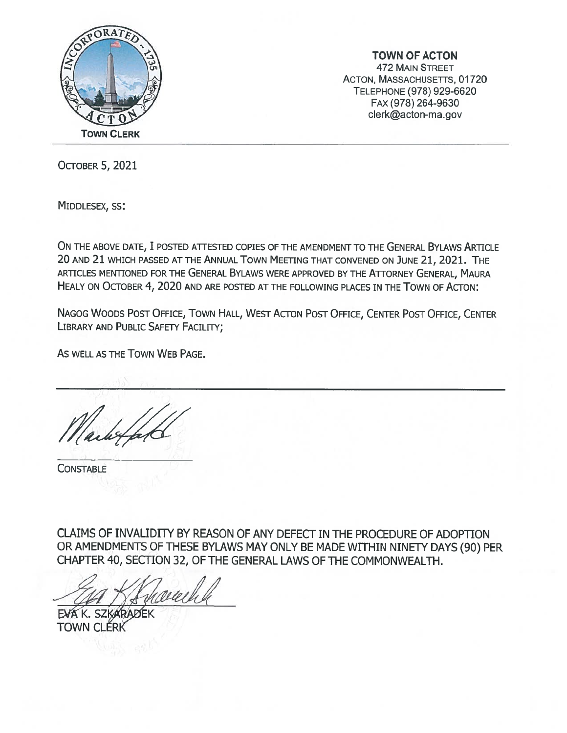

TOWN OF ACTON

472 MAIN STREET ACTON, MAssAcHusETTs, 01720 TELEPHONE (978) 929-6620 FAx (978) 264-9630 clerk@acton-ma.gov

**OCTOBER 5, 2021** 

MIDDLESEX, sS:

ON THE ABOVE DATE, I POSTED ATTESTED COPIES OF THE AMENDMENT TO THE GENERAL BYLAWS ARTICLE 20 AND 21 WHICH PASSED AT THE ANNUAL TOWN MEETING THAT CONVENED ON JUNE 21, 2021. THE ARTICLES MENTIONED FOR THE GENERAL BYLAws WERE APPROVED BY THE ATTORNEY GENERAL, MAURA HEALY ON OCTOBER 4, 2020 AND ARE POSTED AT THE FOLLOWING PLACES IN THE TOWN OF ACTON:

NAGOG WOODS POST OFFICE, TOWN HALL, WEST ACtON POST OFFICE, CENTER POST OFFICE, CENTER LIBRARY AND PUBLIC SAFETY FACILITY;

As WELL AS THE TOWN WEB PAGE.

**CONSTABLE** 

CLAIMS OF INVALIDITY BY REASON OF ANY DEFECT IN THE PROCEDURE OF ADOPTION OR AMENDMENTS OF THESE BYLAWS MAY ONLY BE MADE WiTHIN NINETY DAYS (90) PER CHAPTER 40, SECTION 32, OF THE GENERAL LAWS OF THE COMMONWEALTH.

EVA K. SZKARADE **TOWN CLERK**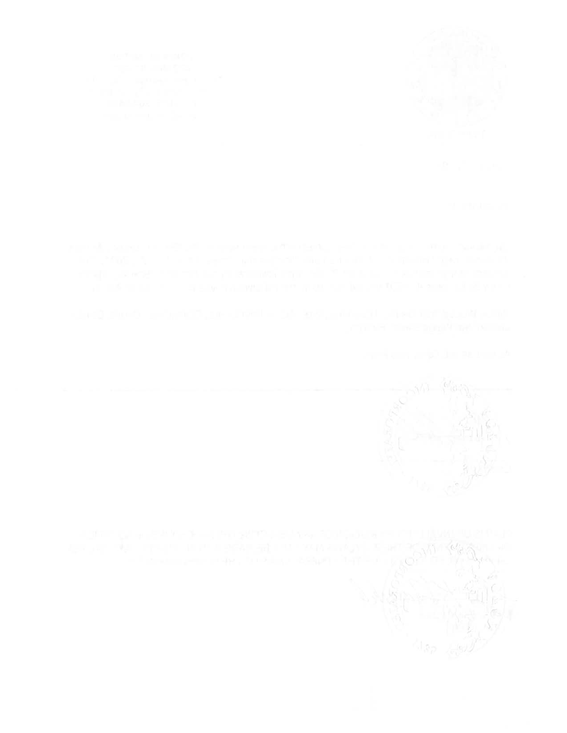

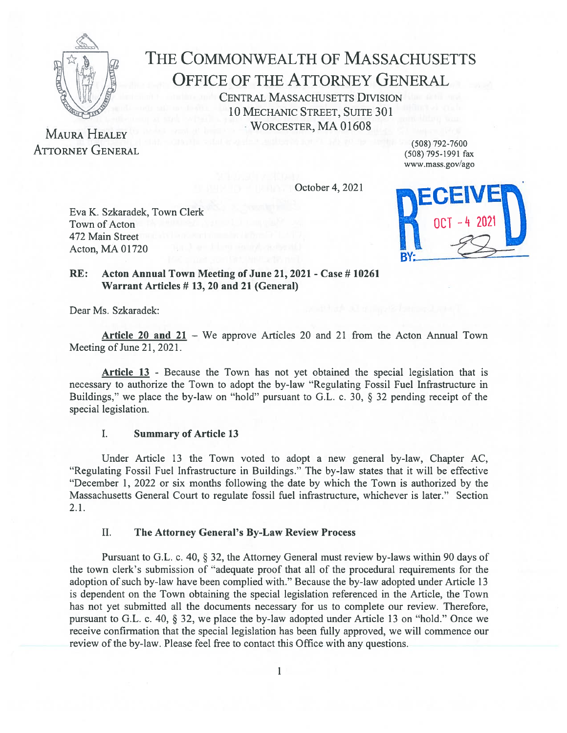

# THE CoMMoNwEALTH Of MASSACHUSETTS OFFICE OF THE ATTORNEY GENERAL CENTRAL MASSACHUSETTS DIVISION

10 MEcHANIc STREET, SUITE 301 WoRcEsTER, MA 01608

MAURA HEALEY ATTORNEY GENERAL

(508) 792-7600 (50\$) 795-1991 fax www.mass.gov/ago

October 4, 2021

Eva K. Szkaradek, Town Clerk Town of Acton **COVERGES COVERED A COVERED A COVERED A COVERED A COVERED A COVERENT** 472 Main Street Acton, MA 01720



### RE: Acton Annual Town Meeting of June 21, 2021 - Case # 10261 Warrant Articles # 13, 20 and 21 (General)

Dear Ms. Szkaradek:

Article 20 and 21 – We approve Articles 20 and 21 from the Acton Annual Town Meeting of June 21, 2021.

Article 13 - Because the Town has not ye<sup>t</sup> obtained the special legislation that is necessary to authorize the Town to adopt the by-law "Regulating Fossil Fuel Infrastructure in Buildings," we <sup>p</sup>lace the by-law on "hold" pursuan<sup>t</sup> to G.L. c. 30, § <sup>32</sup> pending receipt of the special legislation.

### I. Summary of Article 13

Under Article 13 the Town voted to adopt <sup>a</sup> new general by-law, Chapter AC, "Regulating fossil Fuel Infrastructure in Buildings." The by-law states that it will be effective "December 1, 2022 or six months following the date by which the Town is authorized by the Massachusetts General Court to regulate fossil fuel infrastructure, whichever is later." Section 2.1.

### II. The Attorney General's By-Law Review Process

Pursuant to G.L. c. 40, § 32, the Attorney General must review by-laws within <sup>90</sup> days of the town clerk's submission of "adequate proof that all of the procedural requirements for the adoption of such by-law have been complied with." Because the by-law adopted under Article 13 is dependent on the Town obtaining the special legislation referenced in the Article, the Town has not ye<sup>t</sup> submitted all the documents necessary for us to complete our review. Therefore, pursuan<sup>t</sup> to G.L. c. 40, § 32, we <sup>p</sup>lace the by-law adopted under Article <sup>13</sup> on "hold." Once we receive confirmation that the special legislation has been fully approved, we will commence our review of the by-law. Please feel free to contact this Office with any questions.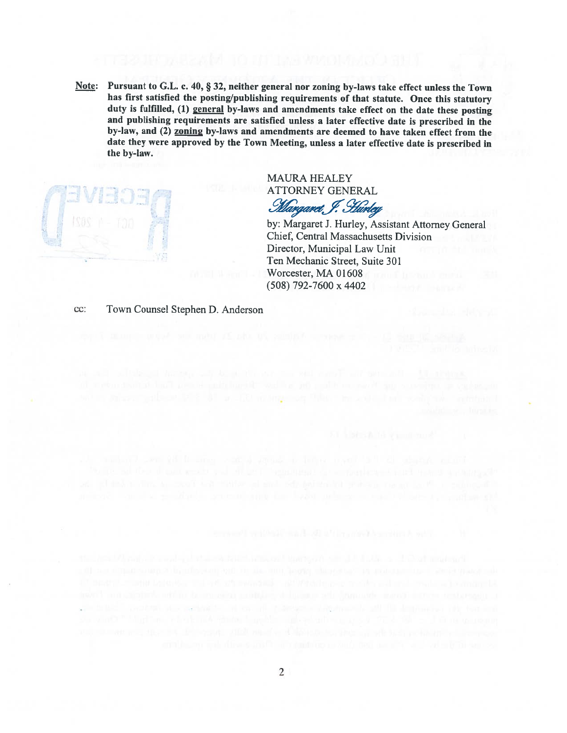Note: Pursuant to G.L. c. 40, § 32, neither general nor zoning by-laws take effect unless the Town has first satisfied the posting/publishing requirements of that statute. Once this statutory duty is fulfilled, (1) general by-laws and amendments take effect on the date these posting and publishing requirements are satisfied unless <sup>a</sup> later effective date is prescribed in the by-law, and (2) zoning by-laws and amendments are deemed to have taken effect from the date they were approved by the Town Meeting, unless <sup>a</sup> later effective date is prescribed in the by-law.

 $\frac{1}{2}$ 

MAURA HEALEY ATTORNEY GENERAL Margaret, J. Hurley

by: Margaret J. Hurley, Assistant Attorney General Chief, Central Massachusetts Division Director, Municipal Law Unit

Ten Mechanic Street, Suite 301 Worcester, MA 01608 (508) 792-7600 <sup>x</sup> 4402

cc: Town Counsel Stephen D. Anderson

2

All an ISS in the cost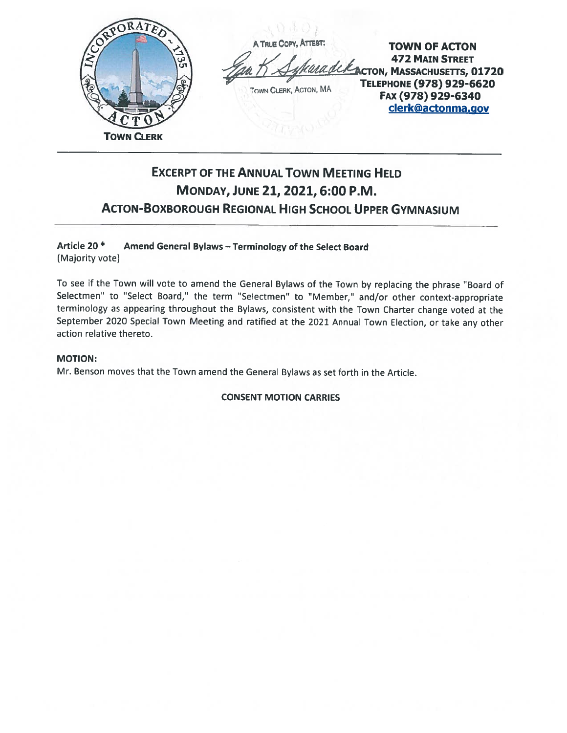

## EXCERPT OF THE ANNUAL TOWN MEETING HELD MONDAY, JUNE 21, 2021,6:00 P.M. ACTON-BOXBOROUGH REGIONAL HIGH SCHOOL UPPER GYMNASIUM

### Article <sup>20</sup> \* Amend General Bylaws — Terminology of the Select Board (Majority vote)

To see if the Town will vote to amend the General Bylaws of the Town by replacing the <sup>p</sup>hrase "Board of Selectmen" to "Select Board," the term "Selectmen" to "Member," and/or other context-appropriate terminology as appearing throughout the Bylaws, consistent with the Town Charter change voted at the September <sup>2020</sup> Special Town Meeting and ratified at the <sup>2021</sup> Annual Town Election, or take any other action relative thereto.

### MOTION:

Mr. Benson moves that the Town amend the General Bylaws as set forth in the Article.

CONSENT MOTION CARRIES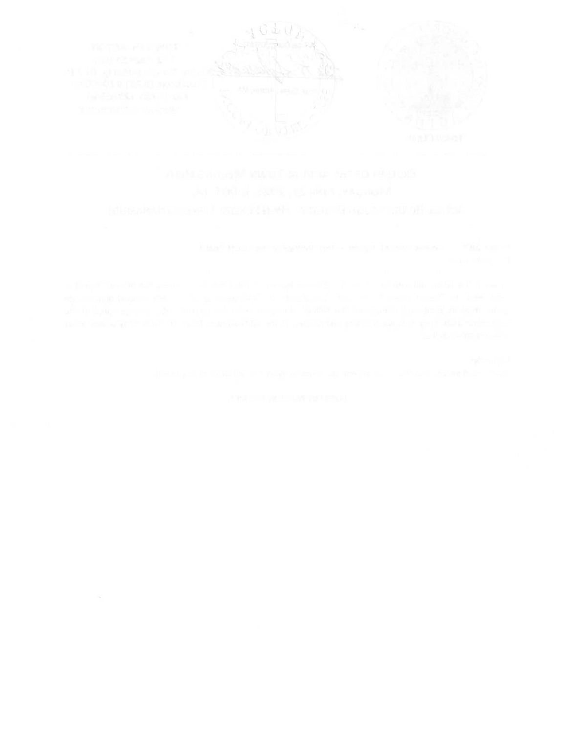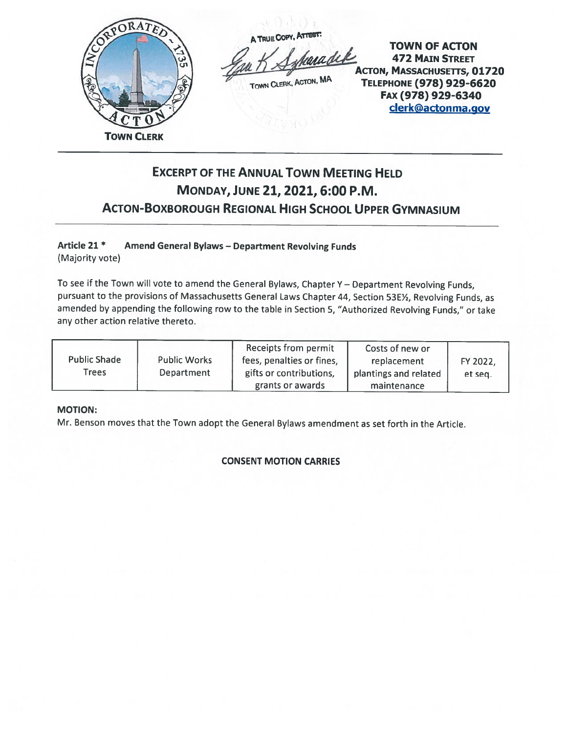

## EXCERPT OF THE ANNUAL TOWN MEETING HELD MONDAY, JUNE 21, 2021, 6:00 P.M. ACT0N-BoxBoRouGH REGIONAL HIGH SCHOOL UPPER GYMNASIUM

### Article 21 \* (Majority vote) Amend General Bylaws — Department Revolving Funds

To see if the Town will vote to amend the General Bylaws, Chapter Y - Department Revolving Funds, pursuant to the provisions of Massachusetts General Laws Chapter 44, Section 53E½, Revolving Funds, as amended by appending the following row to the table in Section 5, "Authorized Revolving Funds," or take any other action relative thereto.

|                     |                     | <b>Receipts from permit</b> | Costs of new or       |          |
|---------------------|---------------------|-----------------------------|-----------------------|----------|
| <b>Public Shade</b> | <b>Public Works</b> | fees, penalties or fines,   | replacement           | FY 2022, |
| Trees               | Department          | gifts or contributions,     | plantings and related | et seq.  |
|                     |                     | grants or awards            | maintenance           |          |

### MOTION:

Mr. Benson moves that the Town adopt the General Bylaws amendment as set forth in the Article.

## CONSENT MOTION CARRIES